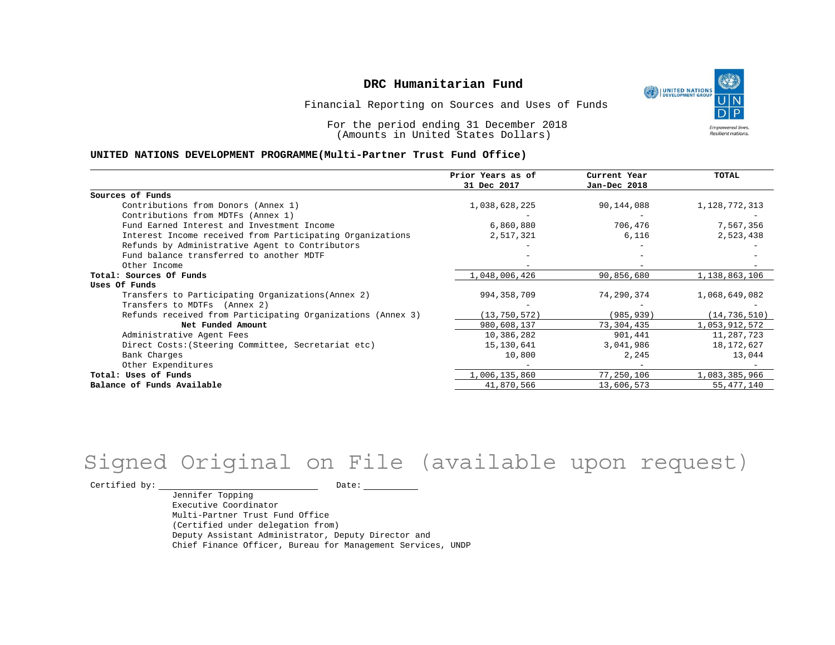

Financial Reporting on Sources and Uses of Funds

For the period ending 31 December 2018 (Amounts in United States Dollars)

#### **UNITED NATIONS DEVELOPMENT PROGRAMME(Multi-Partner Trust Fund Office)**

|                                                             | Prior Years as of | Current Year | <b>TOTAL</b>   |
|-------------------------------------------------------------|-------------------|--------------|----------------|
|                                                             | 31 Dec 2017       | Jan-Dec 2018 |                |
| Sources of Funds                                            |                   |              |                |
| Contributions from Donors (Annex 1)                         | 1,038,628,225     | 90,144,088   | 1,128,772,313  |
| Contributions from MDTFs (Annex 1)                          |                   |              |                |
| Fund Earned Interest and Investment Income                  | 6,860,880         | 706,476      | 7,567,356      |
| Interest Income received from Participating Organizations   | 2,517,321         | 6,116        | 2,523,438      |
| Refunds by Administrative Agent to Contributors             |                   |              |                |
| Fund balance transferred to another MDTF                    |                   |              |                |
| Other Income                                                |                   |              |                |
| Total: Sources Of Funds                                     | 1,048,006,426     | 90,856,680   | 1,138,863,106  |
| Uses Of Funds                                               |                   |              |                |
| Transfers to Participating Organizations (Annex 2)          | 994,358,709       | 74,290,374   | 1,068,649,082  |
| Transfers to MDTFs (Annex 2)                                |                   |              |                |
| Refunds received from Participating Organizations (Annex 3) | (13, 750, 572)    | (985, 939)   | (14, 736, 510) |
| Net Funded Amount                                           | 980,608,137       | 73,304,435   | 1,053,912,572  |
| Administrative Agent Fees                                   | 10,386,282        | 901,441      | 11,287,723     |
| Direct Costs: (Steering Committee, Secretariat etc)         | 15,130,641        | 3,041,986    | 18,172,627     |
| Bank Charges                                                | 10,800            | 2,245        | 13,044         |
| Other Expenditures                                          |                   |              |                |
| Total: Uses of Funds                                        | 1,006,135,860     | 77,250,106   | 1,083,385,966  |
| Balance of Funds Available                                  | 41,870,566        | 13,606,573   | 55, 477, 140   |

# Signed Original on File (available upon request)

 $\begin{tabular}{ccccc} \multicolumn{2}{c|}{\texttt{Certified by:}} & \multicolumn{2}{c|}{\texttt{Date:}} & \multicolumn{2}{c|}{\texttt{Date:}} \end{tabular}$ 

Jennifer Topping Executive Coordinator Multi-Partner Trust Fund Office (Certified under delegation from) Deputy Assistant Administrator, Deputy Director and Chief Finance Officer, Bureau for Management Services, UNDP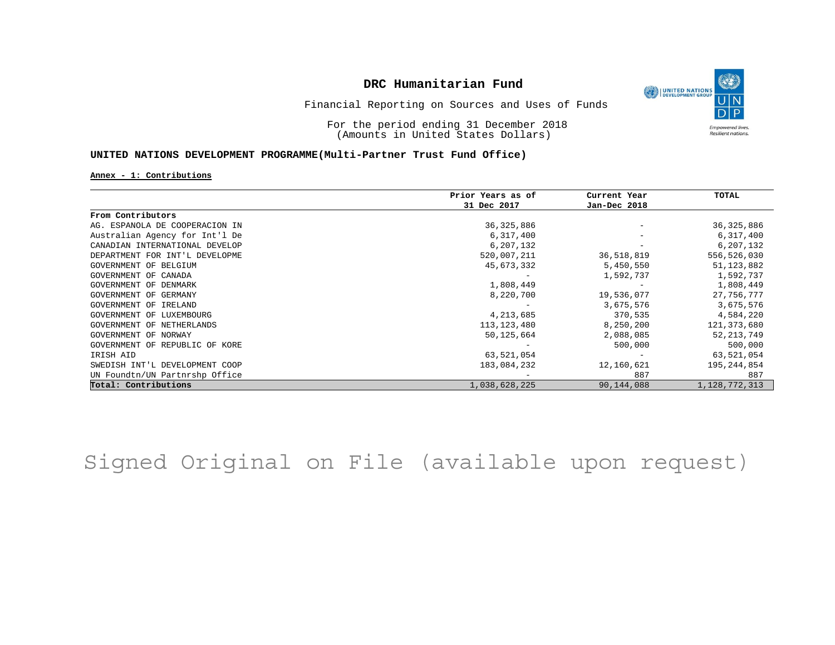

Financial Reporting on Sources and Uses of Funds

For the period ending 31 December 2018 (Amounts in United States Dollars)

### **UNITED NATIONS DEVELOPMENT PROGRAMME(Multi-Partner Trust Fund Office)**

**Annex - 1: Contributions**

|                                | Prior Years as of | Current Year | TOTAL            |
|--------------------------------|-------------------|--------------|------------------|
|                                | 31 Dec 2017       | Jan-Dec 2018 |                  |
| From Contributors              |                   |              |                  |
| AG. ESPANOLA DE COOPERACION IN | 36, 325, 886      |              | 36, 325, 886     |
| Australian Agency for Int'l De | 6,317,400         |              | 6,317,400        |
| CANADIAN INTERNATIONAL DEVELOP | 6,207,132         |              | 6,207,132        |
| DEPARTMENT FOR INT'L DEVELOPME | 520,007,211       | 36,518,819   | 556,526,030      |
| GOVERNMENT OF BELGIUM          | 45,673,332        | 5,450,550    | 51, 123, 882     |
| GOVERNMENT OF CANADA           |                   | 1,592,737    | 1,592,737        |
| GOVERNMENT OF DENMARK          | 1,808,449         |              | 1,808,449        |
| GOVERNMENT OF GERMANY          | 8,220,700         | 19,536,077   | 27,756,777       |
| GOVERNMENT OF IRELAND          |                   | 3,675,576    | 3,675,576        |
| GOVERNMENT OF LUXEMBOURG       | 4,213,685         | 370,535      | 4,584,220        |
| GOVERNMENT OF NETHERLANDS      | 113, 123, 480     | 8,250,200    | 121, 373, 680    |
| GOVERNMENT OF NORWAY           | 50,125,664        | 2,088,085    | 52, 213, 749     |
| GOVERNMENT OF REPUBLIC OF KORE |                   | 500,000      | 500,000          |
| IRISH AID                      | 63,521,054        |              | 63,521,054       |
| SWEDISH INT'L DEVELOPMENT COOP | 183,084,232       | 12,160,621   | 195,244,854      |
| UN Foundtn/UN Partnrshp Office |                   | 887          | 887              |
| Total: Contributions           | 1,038,628,225     | 90, 144, 088 | 1, 128, 772, 313 |

Signed Original on File (available upon request)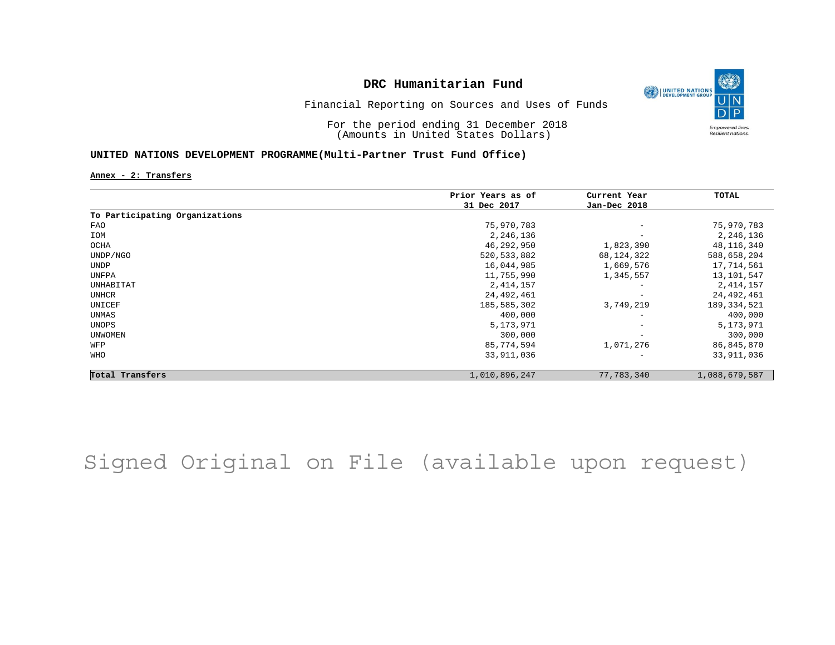

Financial Reporting on Sources and Uses of Funds

For the period ending 31 December 2018 (Amounts in United States Dollars)

### **UNITED NATIONS DEVELOPMENT PROGRAMME(Multi-Partner Trust Fund Office)**

**Annex - 2: Transfers**

|                                | Prior Years as of | Current Year             | TOTAL         |
|--------------------------------|-------------------|--------------------------|---------------|
|                                | 31 Dec 2017       | Jan-Dec 2018             |               |
| To Participating Organizations |                   |                          |               |
| FAO                            | 75,970,783        | $\overline{\phantom{0}}$ | 75,970,783    |
| IOM                            | 2,246,136         | $\qquad \qquad -$        | 2,246,136     |
| OCHA                           | 46,292,950        | 1,823,390                | 48,116,340    |
| UNDP/NGO                       | 520, 533, 882     | 68,124,322               | 588,658,204   |
| <b>UNDP</b>                    | 16,044,985        | 1,669,576                | 17,714,561    |
| UNFPA                          | 11,755,990        | 1,345,557                | 13,101,547    |
| UNHABITAT                      | 2, 414, 157       | -                        | 2,414,157     |
| UNHCR                          | 24,492,461        |                          | 24,492,461    |
| UNICEF                         | 185,585,302       | 3,749,219                | 189, 334, 521 |
| UNMAS                          | 400,000           | $\overline{\phantom{0}}$ | 400,000       |
| UNOPS                          | 5, 173, 971       | $\overline{\phantom{m}}$ | 5,173,971     |
| <b>UNWOMEN</b>                 | 300,000           | $\qquad \qquad -$        | 300,000       |
| WFP                            | 85,774,594        | 1,071,276                | 86,845,870    |
| WHO                            | 33,911,036        |                          | 33,911,036    |
| Total Transfers                | 1,010,896,247     | 77,783,340               | 1,088,679,587 |

# Signed Original on File (available upon request)